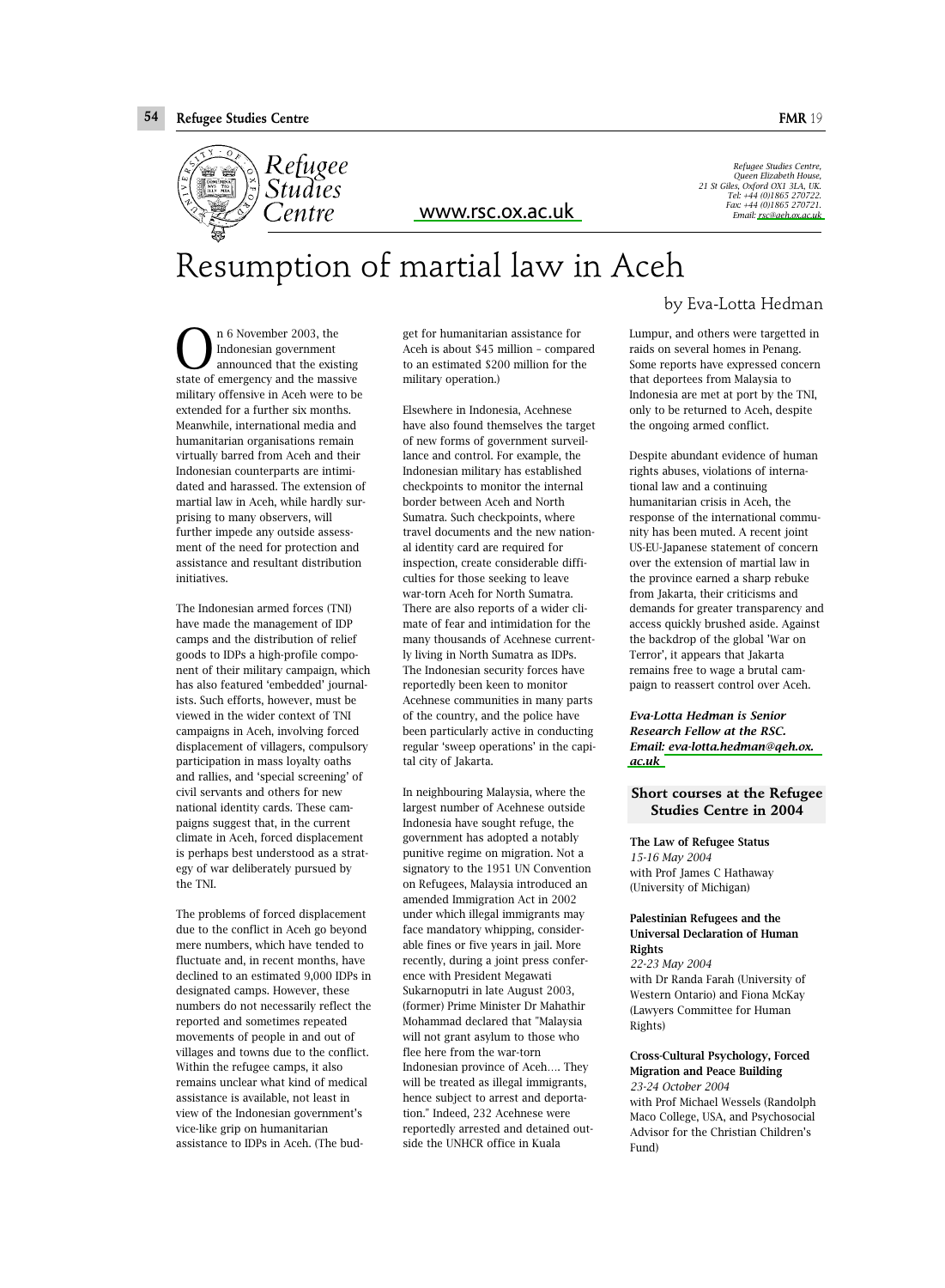

<www.rsc.ox.ac.uk>

*Refugee Studies Centre, Queen Elizabeth House, 21 St Giles, Oxford OX1 3LA, UK. Tel: +44 (0)1865 270722. Fax: +44 (0)1865 270721. Email: [rsc@qeh.ox.ac.uk](mailto:rsc@qeh.ox.ac.uk)* 

# Resumption of martial law in Aceh

n 6 November 2003, the Indonesian government announced that the existing **C** Indonesian government<br>announced that the existing<br>state of emergency and the massive military offensive in Aceh were to be extended for a further six months. Meanwhile, international media and humanitarian organisations remain virtually barred from Aceh and their Indonesian counterparts are intimidated and harassed. The extension of martial law in Aceh, while hardly surprising to many observers, will further impede any outside assessment of the need for protection and assistance and resultant distribution initiatives.

The Indonesian armed forces (TNI) have made the management of IDP camps and the distribution of relief goods to IDPs a high-profile component of their military campaign, which has also featured 'embedded' journalists. Such efforts, however, must be viewed in the wider context of TNI campaigns in Aceh, involving forced displacement of villagers, compulsory participation in mass loyalty oaths and rallies, and 'special screening' of civil servants and others for new national identity cards. These campaigns suggest that, in the current climate in Aceh, forced displacement is perhaps best understood as a strategy of war deliberately pursued by the TNI.

The problems of forced displacement due to the conflict in Aceh go beyond mere numbers, which have tended to fluctuate and, in recent months, have declined to an estimated 9,000 IDPs in designated camps. However, these numbers do not necessarily reflect the reported and sometimes repeated movements of people in and out of villages and towns due to the conflict. Within the refugee camps, it also remains unclear what kind of medical assistance is available, not least in view of the Indonesian government's vice-like grip on humanitarian assistance to IDPs in Aceh. (The bud-

get for humanitarian assistance for Aceh is about \$45 million – compared to an estimated \$200 million for the military operation.)

Elsewhere in Indonesia, Acehnese have also found themselves the target of new forms of government surveillance and control. For example, the Indonesian military has established checkpoints to monitor the internal border between Aceh and North Sumatra. Such checkpoints, where travel documents and the new national identity card are required for inspection, create considerable difficulties for those seeking to leave war-torn Aceh for North Sumatra. There are also reports of a wider climate of fear and intimidation for the many thousands of Acehnese currently living in North Sumatra as IDPs. The Indonesian security forces have reportedly been keen to monitor Acehnese communities in many parts of the country, and the police have been particularly active in conducting regular 'sweep operations' in the capital city of Jakarta.

In neighbouring Malaysia, where the largest number of Acehnese outside Indonesia have sought refuge, the government has adopted a notably punitive regime on migration. Not a signatory to the 1951 UN Convention on Refugees, Malaysia introduced an amended Immigration Act in 2002 under which illegal immigrants may face mandatory whipping, considerable fines or five years in jail. More recently, during a joint press conference with President Megawati Sukarnoputri in late August 2003, (former) Prime Minister Dr Mahathir Mohammad declared that "Malaysia will not grant asylum to those who flee here from the war-torn Indonesian province of Aceh…. They will be treated as illegal immigrants, hence subject to arrest and deportation." Indeed, 232 Acehnese were reportedly arrested and detained outside the UNHCR office in Kuala

by Eva-Lotta Hedman

Lumpur, and others were targetted in raids on several homes in Penang. Some reports have expressed concern that deportees from Malaysia to Indonesia are met at port by the TNI, only to be returned to Aceh, despite the ongoing armed conflict.

Despite abundant evidence of human rights abuses, violations of international law and a continuing humanitarian crisis in Aceh, the response of the international community has been muted. A recent joint US-EU-Japanese statement of concern over the extension of martial law in the province earned a sharp rebuke from Jakarta, their criticisms and demands for greater transparency and access quickly brushed aside. Against the backdrop of the global 'War on Terror', it appears that Jakarta remains free to wage a brutal campaign to reassert control over Aceh.

*Eva-Lotta Hedman is Senior Research Fellow at the RSC. Email[: eva-lotta.hedman@qeh.ox.](mailto:eva-lotta.hedman@qeh.ox.ac.uk) [ac.uk](mailto:eva-lotta.hedman@qeh.ox.ac.uk)*

**Short courses at the Refugee Studies Centre in 2004**

The Law of Refugee Status *15-16 May 2004* with Prof James C Hathaway (University of Michigan)

#### Palestinian Refugees and the Universal Declaration of Human Rights

*22-23 May 2004* with Dr Randa Farah (University of Western Ontario) and Fiona McKay (Lawyers Committee for Human Rights)

Cross-Cultural Psychology, Forced Migration and Peace Building *23-24 October 2004* with Prof Michael Wessels (Randolph Maco College, USA, and Psychosocial Advisor for the Christian Children's Fund)